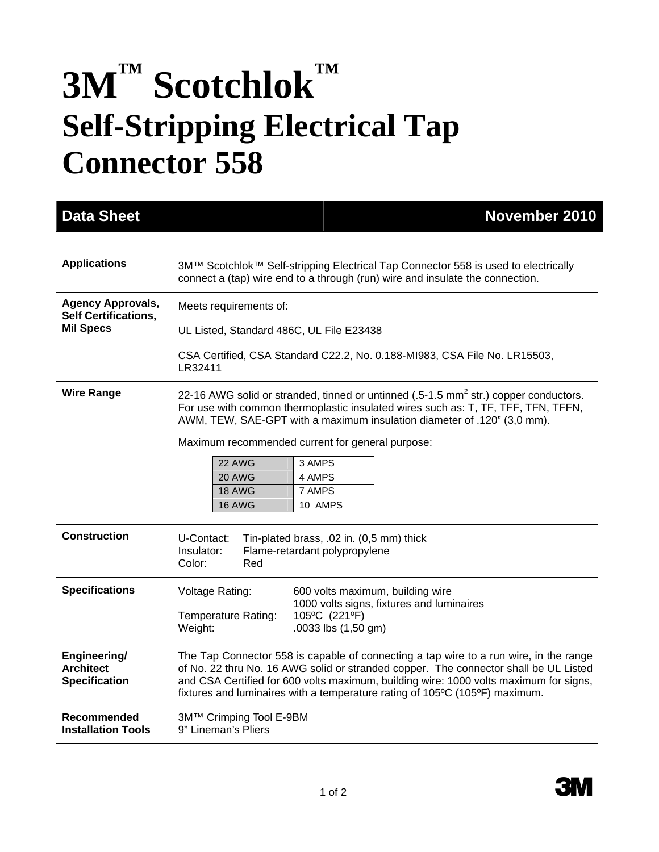## **3M™ Scotchlok™**<br>Self-Stripping Electrical Tap **Connector 558**

| <b>Data Sheet</b>                                                           | <b>November 2010</b>                                                                                                                                                                                                                                                                                                                                  |
|-----------------------------------------------------------------------------|-------------------------------------------------------------------------------------------------------------------------------------------------------------------------------------------------------------------------------------------------------------------------------------------------------------------------------------------------------|
|                                                                             |                                                                                                                                                                                                                                                                                                                                                       |
| <b>Applications</b>                                                         | 3M™ Scotchlok™ Self-stripping Electrical Tap Connector 558 is used to electrically<br>connect a (tap) wire end to a through (run) wire and insulate the connection.                                                                                                                                                                                   |
| <b>Agency Approvals,</b><br><b>Self Certifications,</b><br><b>Mil Specs</b> | Meets requirements of:                                                                                                                                                                                                                                                                                                                                |
|                                                                             | UL Listed, Standard 486C, UL File E23438                                                                                                                                                                                                                                                                                                              |
|                                                                             | CSA Certified, CSA Standard C22.2, No. 0.188-MI983, CSA File No. LR15503,<br>LR32411                                                                                                                                                                                                                                                                  |
| <b>Wire Range</b>                                                           | 22-16 AWG solid or stranded, tinned or untinned (.5-1.5 mm <sup>2</sup> str.) copper conductors.<br>For use with common thermoplastic insulated wires such as: T, TF, TFF, TFN, TFFN,<br>AWM, TEW, SAE-GPT with a maximum insulation diameter of .120" (3,0 mm).                                                                                      |
|                                                                             | Maximum recommended current for general purpose:                                                                                                                                                                                                                                                                                                      |
|                                                                             | 22 AWG<br>3 AMPS<br>20 AWG<br>4 AMPS                                                                                                                                                                                                                                                                                                                  |
|                                                                             | <b>18 AWG</b><br>7 AMPS                                                                                                                                                                                                                                                                                                                               |
|                                                                             | 16 AWG<br>10 AMPS                                                                                                                                                                                                                                                                                                                                     |
| <b>Construction</b>                                                         | U-Contact:<br>Tin-plated brass, .02 in. (0,5 mm) thick<br>Insulator:<br>Flame-retardant polypropylene<br>Color:<br>Red                                                                                                                                                                                                                                |
| <b>Specifications</b>                                                       | 600 volts maximum, building wire<br>Voltage Rating:                                                                                                                                                                                                                                                                                                   |
|                                                                             | 1000 volts signs, fixtures and luminaires<br>105°C (221°F)<br><b>Temperature Rating:</b><br>.0033 lbs (1,50 gm)<br>Weight:                                                                                                                                                                                                                            |
| Engineering/<br><b>Architect</b><br><b>Specification</b>                    | The Tap Connector 558 is capable of connecting a tap wire to a run wire, in the range<br>of No. 22 thru No. 16 AWG solid or stranded copper. The connector shall be UL Listed<br>and CSA Certified for 600 volts maximum, building wire: 1000 volts maximum for signs,<br>fixtures and luminaires with a temperature rating of 105°C (105°F) maximum. |
| <b>Recommended</b><br><b>Installation Tools</b>                             | 3M™ Crimping Tool E-9BM<br>9" Lineman's Pliers                                                                                                                                                                                                                                                                                                        |